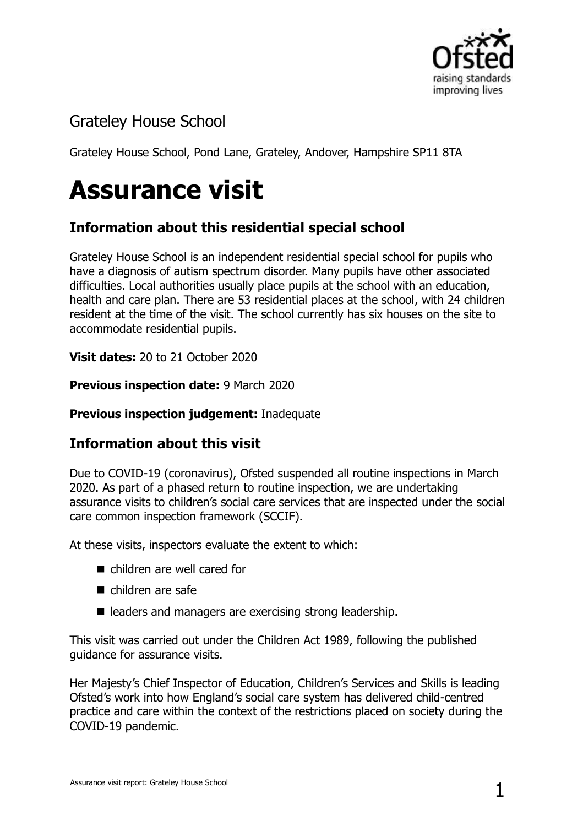

# Grateley House School

Grateley House School, Pond Lane, Grateley, Andover, Hampshire SP11 8TA

# **Assurance visit**

## **Information about this residential special school**

Grateley House School is an independent residential special school for pupils who have a diagnosis of autism spectrum disorder. Many pupils have other associated difficulties. Local authorities usually place pupils at the school with an education, health and care plan. There are 53 residential places at the school, with 24 children resident at the time of the visit. The school currently has six houses on the site to accommodate residential pupils.

**Visit dates: 20 to 21 October 2020** 

**Previous inspection date:** 9 March 2020

#### **Previous inspection judgement:** Inadequate

### **Information about this visit**

Due to COVID-19 (coronavirus), Ofsted suspended all routine inspections in March 2020. As part of a phased return to routine inspection, we are undertaking assurance visits to children's social care services that are inspected under the social care common inspection framework (SCCIF).

At these visits, inspectors evaluate the extent to which:

- children are well cared for
- children are safe
- leaders and managers are exercising strong leadership.

This visit was carried out under the Children Act 1989, following the published guidance for assurance visits.

Her Majesty's Chief Inspector of Education, Children's Services and Skills is leading Ofsted's work into how England's social care system has delivered child-centred practice and care within the context of the restrictions placed on society during the COVID-19 pandemic.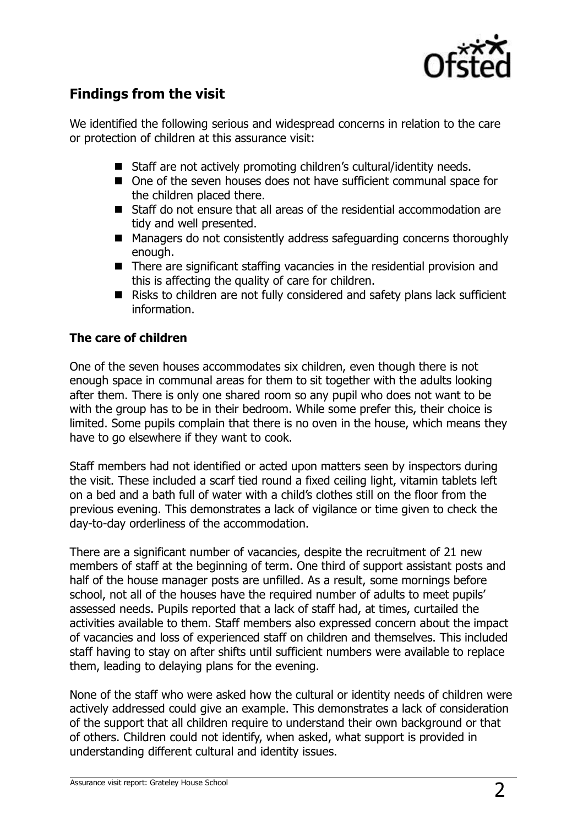

## **Findings from the visit**

We identified the following serious and widespread concerns in relation to the care or protection of children at this assurance visit:

- Staff are not actively promoting children's cultural/identity needs.
- One of the seven houses does not have sufficient communal space for the children placed there.
- Staff do not ensure that all areas of the residential accommodation are tidy and well presented.
- Managers do not consistently address safeguarding concerns thoroughly enough.
- There are significant staffing vacancies in the residential provision and this is affecting the quality of care for children.
- Risks to children are not fully considered and safety plans lack sufficient information.

#### **The care of children**

One of the seven houses accommodates six children, even though there is not enough space in communal areas for them to sit together with the adults looking after them. There is only one shared room so any pupil who does not want to be with the group has to be in their bedroom. While some prefer this, their choice is limited. Some pupils complain that there is no oven in the house, which means they have to go elsewhere if they want to cook.

Staff members had not identified or acted upon matters seen by inspectors during the visit. These included a scarf tied round a fixed ceiling light, vitamin tablets left on a bed and a bath full of water with a child's clothes still on the floor from the previous evening. This demonstrates a lack of vigilance or time given to check the day-to-day orderliness of the accommodation.

There are a significant number of vacancies, despite the recruitment of 21 new members of staff at the beginning of term. One third of support assistant posts and half of the house manager posts are unfilled. As a result, some mornings before school, not all of the houses have the required number of adults to meet pupils' assessed needs. Pupils reported that a lack of staff had, at times, curtailed the activities available to them. Staff members also expressed concern about the impact of vacancies and loss of experienced staff on children and themselves. This included staff having to stay on after shifts until sufficient numbers were available to replace them, leading to delaying plans for the evening.

None of the staff who were asked how the cultural or identity needs of children were actively addressed could give an example. This demonstrates a lack of consideration of the support that all children require to understand their own background or that of others. Children could not identify, when asked, what support is provided in understanding different cultural and identity issues.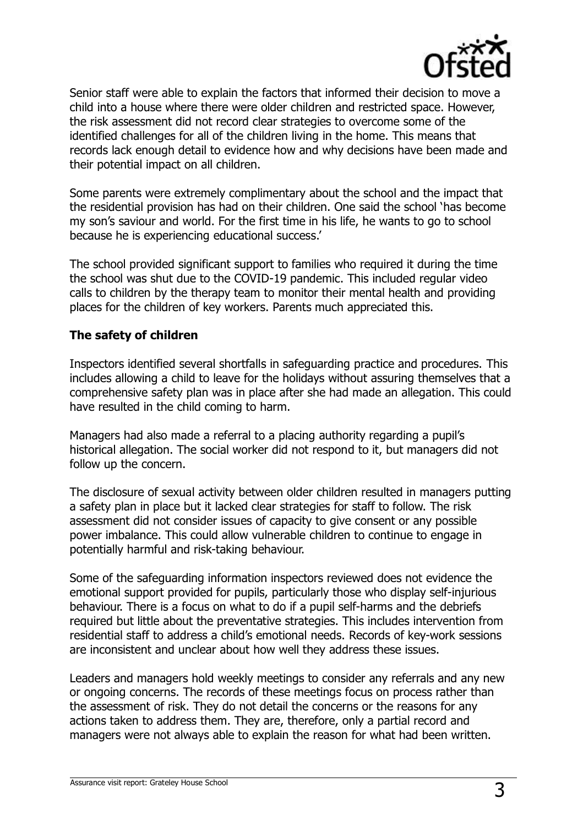

Senior staff were able to explain the factors that informed their decision to move a child into a house where there were older children and restricted space. However, the risk assessment did not record clear strategies to overcome some of the identified challenges for all of the children living in the home. This means that records lack enough detail to evidence how and why decisions have been made and their potential impact on all children.

Some parents were extremely complimentary about the school and the impact that the residential provision has had on their children. One said the school 'has become my son's saviour and world. For the first time in his life, he wants to go to school because he is experiencing educational success.'

The school provided significant support to families who required it during the time the school was shut due to the COVID-19 pandemic. This included regular video calls to children by the therapy team to monitor their mental health and providing places for the children of key workers. Parents much appreciated this.

#### **The safety of children**

Inspectors identified several shortfalls in safeguarding practice and procedures. This includes allowing a child to leave for the holidays without assuring themselves that a comprehensive safety plan was in place after she had made an allegation. This could have resulted in the child coming to harm.

Managers had also made a referral to a placing authority regarding a pupil's historical allegation. The social worker did not respond to it, but managers did not follow up the concern.

The disclosure of sexual activity between older children resulted in managers putting a safety plan in place but it lacked clear strategies for staff to follow. The risk assessment did not consider issues of capacity to give consent or any possible power imbalance. This could allow vulnerable children to continue to engage in potentially harmful and risk-taking behaviour.

Some of the safeguarding information inspectors reviewed does not evidence the emotional support provided for pupils, particularly those who display self-injurious behaviour. There is a focus on what to do if a pupil self-harms and the debriefs required but little about the preventative strategies. This includes intervention from residential staff to address a child's emotional needs. Records of key-work sessions are inconsistent and unclear about how well they address these issues.

Leaders and managers hold weekly meetings to consider any referrals and any new or ongoing concerns. The records of these meetings focus on process rather than the assessment of risk. They do not detail the concerns or the reasons for any actions taken to address them. They are, therefore, only a partial record and managers were not always able to explain the reason for what had been written.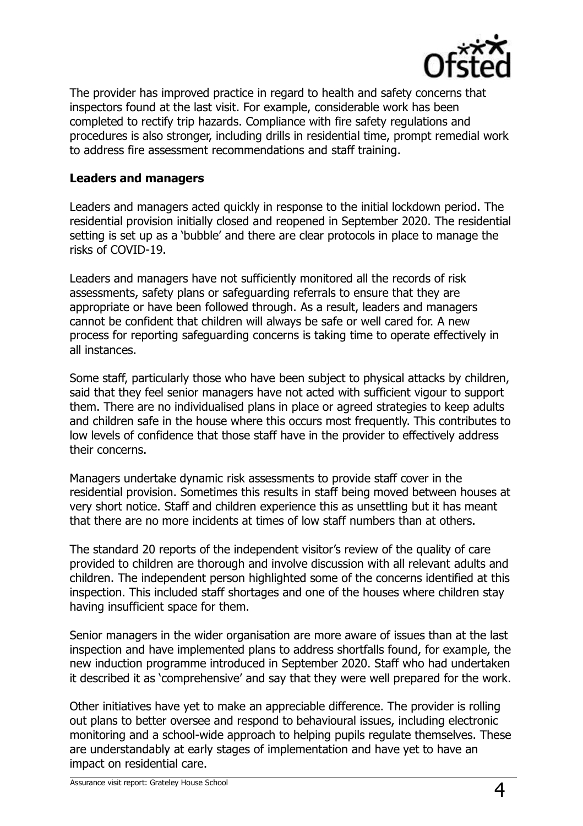

The provider has improved practice in regard to health and safety concerns that inspectors found at the last visit. For example, considerable work has been completed to rectify trip hazards. Compliance with fire safety regulations and procedures is also stronger, including drills in residential time, prompt remedial work to address fire assessment recommendations and staff training.

#### **Leaders and managers**

Leaders and managers acted quickly in response to the initial lockdown period. The residential provision initially closed and reopened in September 2020. The residential setting is set up as a 'bubble' and there are clear protocols in place to manage the risks of COVID-19.

Leaders and managers have not sufficiently monitored all the records of risk assessments, safety plans or safeguarding referrals to ensure that they are appropriate or have been followed through. As a result, leaders and managers cannot be confident that children will always be safe or well cared for. A new process for reporting safeguarding concerns is taking time to operate effectively in all instances.

Some staff, particularly those who have been subject to physical attacks by children, said that they feel senior managers have not acted with sufficient vigour to support them. There are no individualised plans in place or agreed strategies to keep adults and children safe in the house where this occurs most frequently. This contributes to low levels of confidence that those staff have in the provider to effectively address their concerns.

Managers undertake dynamic risk assessments to provide staff cover in the residential provision. Sometimes this results in staff being moved between houses at very short notice. Staff and children experience this as unsettling but it has meant that there are no more incidents at times of low staff numbers than at others.

The standard 20 reports of the independent visitor's review of the quality of care provided to children are thorough and involve discussion with all relevant adults and children. The independent person highlighted some of the concerns identified at this inspection. This included staff shortages and one of the houses where children stay having insufficient space for them.

Senior managers in the wider organisation are more aware of issues than at the last inspection and have implemented plans to address shortfalls found, for example, the new induction programme introduced in September 2020. Staff who had undertaken it described it as 'comprehensive' and say that they were well prepared for the work.

Other initiatives have yet to make an appreciable difference. The provider is rolling out plans to better oversee and respond to behavioural issues, including electronic monitoring and a school-wide approach to helping pupils regulate themselves. These are understandably at early stages of implementation and have yet to have an impact on residential care.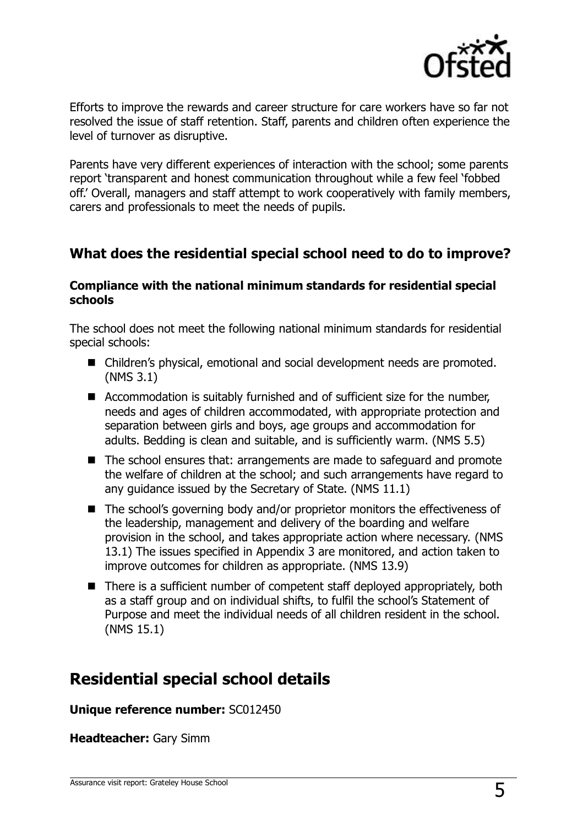

Efforts to improve the rewards and career structure for care workers have so far not resolved the issue of staff retention. Staff, parents and children often experience the level of turnover as disruptive.

Parents have very different experiences of interaction with the school; some parents report 'transparent and honest communication throughout while a few feel 'fobbed off.' Overall, managers and staff attempt to work cooperatively with family members, carers and professionals to meet the needs of pupils.

## **What does the residential special school need to do to improve?**

#### **Compliance with the national minimum standards for residential special schools**

The school does not meet the following national minimum standards for residential special schools:

- Children's physical, emotional and social development needs are promoted. (NMS 3.1)
- Accommodation is suitably furnished and of sufficient size for the number, needs and ages of children accommodated, with appropriate protection and separation between girls and boys, age groups and accommodation for adults. Bedding is clean and suitable, and is sufficiently warm. (NMS 5.5)
- The school ensures that: arrangements are made to safeguard and promote the welfare of children at the school; and such arrangements have regard to any guidance issued by the Secretary of State. (NMS 11.1)
- The school's governing body and/or proprietor monitors the effectiveness of the leadership, management and delivery of the boarding and welfare provision in the school, and takes appropriate action where necessary. (NMS 13.1) The issues specified in Appendix 3 are monitored, and action taken to improve outcomes for children as appropriate. (NMS 13.9)
- There is a sufficient number of competent staff deployed appropriately, both as a staff group and on individual shifts, to fulfil the school's Statement of Purpose and meet the individual needs of all children resident in the school. (NMS 15.1)

# **Residential special school details**

**Unique reference number:** SC012450

**Headteacher:** Gary Simm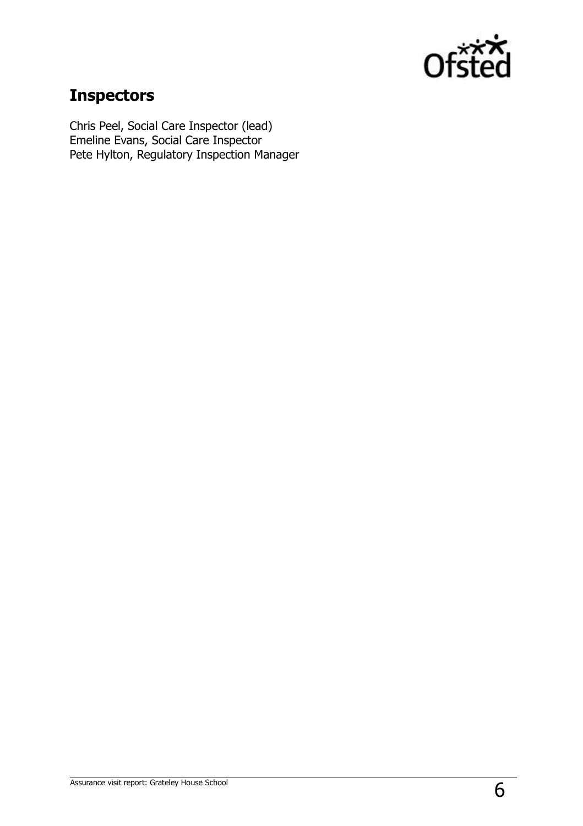

# **Inspectors**

Chris Peel, Social Care Inspector (lead) Emeline Evans, Social Care Inspector Pete Hylton, Regulatory Inspection Manager